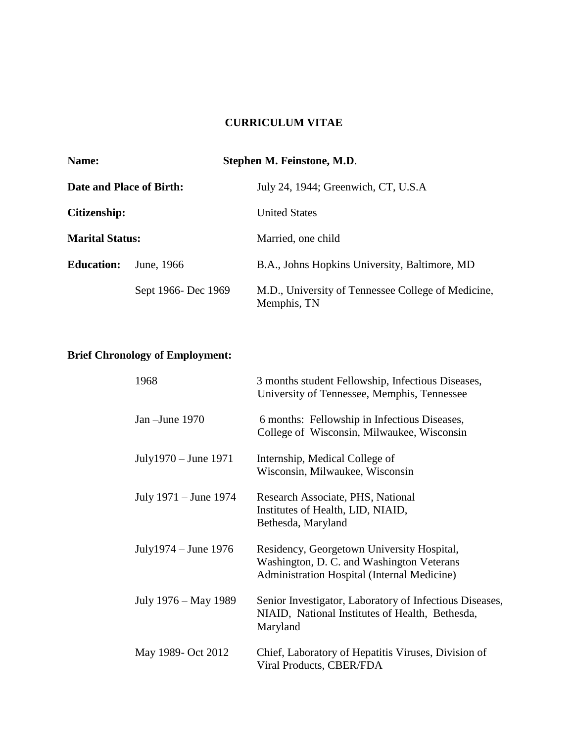## **CURRICULUM VITAE**

| <b>Name:</b><br>Date and Place of Birth:<br>Citizenship: |                     | Stephen M. Feinstone, M.D.                                        |                        |
|----------------------------------------------------------|---------------------|-------------------------------------------------------------------|------------------------|
|                                                          |                     | July 24, 1944; Greenwich, CT, U.S.A<br><b>United States</b>       |                        |
|                                                          |                     |                                                                   | <b>Marital Status:</b> |
| <b>Education:</b>                                        | June, 1966          | B.A., Johns Hopkins University, Baltimore, MD                     |                        |
|                                                          | Sept 1966- Dec 1969 | M.D., University of Tennessee College of Medicine,<br>Memphis, TN |                        |

# **Brief Chronology of Employment:**

| 1968                  | 3 months student Fellowship, Infectious Diseases,<br>University of Tennessee, Memphis, Tennessee                                       |
|-----------------------|----------------------------------------------------------------------------------------------------------------------------------------|
| Jan $-J$ une 1970     | 6 months: Fellowship in Infectious Diseases,<br>College of Wisconsin, Milwaukee, Wisconsin                                             |
| July1970 – June 1971  | Internship, Medical College of<br>Wisconsin, Milwaukee, Wisconsin                                                                      |
| July 1971 – June 1974 | Research Associate, PHS, National<br>Institutes of Health, LID, NIAID,<br>Bethesda, Maryland                                           |
| July1974 – June 1976  | Residency, Georgetown University Hospital,<br>Washington, D. C. and Washington Veterans<br>Administration Hospital (Internal Medicine) |
| July 1976 – May 1989  | Senior Investigator, Laboratory of Infectious Diseases,<br>NIAID, National Institutes of Health, Bethesda,<br>Maryland                 |
| May 1989- Oct 2012    | Chief, Laboratory of Hepatitis Viruses, Division of<br>Viral Products, CBER/FDA                                                        |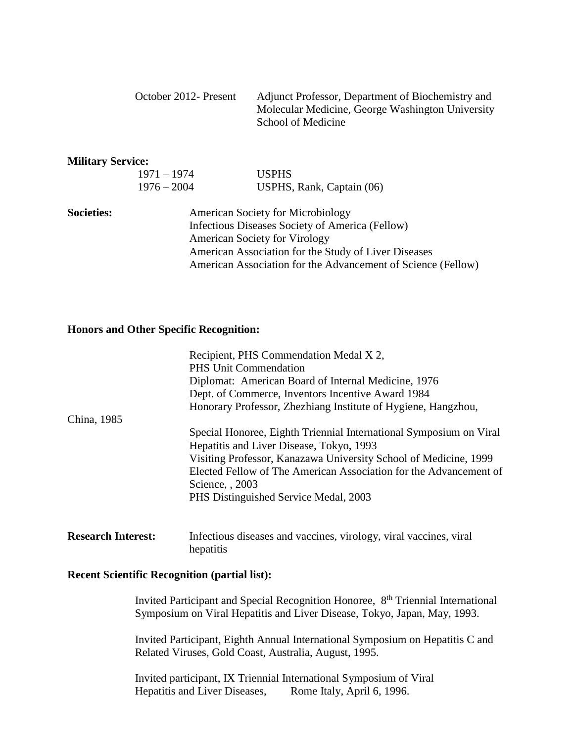|                          | October 2012- Present                                        | Adjunct Professor, Department of Biochemistry and<br>Molecular Medicine, George Washington University<br>School of Medicine |  |
|--------------------------|--------------------------------------------------------------|-----------------------------------------------------------------------------------------------------------------------------|--|
| <b>Military Service:</b> |                                                              |                                                                                                                             |  |
|                          | $1971 - 1974$                                                | <b>USPHS</b>                                                                                                                |  |
|                          | $1976 - 2004$                                                | USPHS, Rank, Captain (06)                                                                                                   |  |
| <b>Societies:</b>        | <b>American Society for Microbiology</b>                     |                                                                                                                             |  |
|                          | Infectious Diseases Society of America (Fellow)              |                                                                                                                             |  |
|                          | <b>American Society for Virology</b>                         |                                                                                                                             |  |
|                          | American Association for the Study of Liver Diseases         |                                                                                                                             |  |
|                          | American Association for the Advancement of Science (Fellow) |                                                                                                                             |  |

#### **Honors and Other Specific Recognition:**

|                           | Recipient, PHS Commendation Medal X 2,                             |  |  |
|---------------------------|--------------------------------------------------------------------|--|--|
|                           | <b>PHS Unit Commendation</b>                                       |  |  |
|                           | Diplomat: American Board of Internal Medicine, 1976                |  |  |
|                           | Dept. of Commerce, Inventors Incentive Award 1984                  |  |  |
|                           | Honorary Professor, Zhezhiang Institute of Hygiene, Hangzhou,      |  |  |
| China, 1985               |                                                                    |  |  |
|                           | Special Honoree, Eighth Triennial International Symposium on Viral |  |  |
|                           | Hepatitis and Liver Disease, Tokyo, 1993                           |  |  |
|                           | Visiting Professor, Kanazawa University School of Medicine, 1999   |  |  |
|                           | Elected Fellow of The American Association for the Advancement of  |  |  |
|                           | Science, 2003                                                      |  |  |
|                           | PHS Distinguished Service Medal, 2003                              |  |  |
|                           |                                                                    |  |  |
| <b>Research Interest:</b> | Infectious diseases and vaccines, virology, viral vaccines, viral  |  |  |

#### **Recent Scientific Recognition (partial list):**

hepatitis

Invited Participant and Special Recognition Honoree, 8<sup>th</sup> Triennial International Symposium on Viral Hepatitis and Liver Disease, Tokyo, Japan, May, 1993.

Invited Participant, Eighth Annual International Symposium on Hepatitis C and Related Viruses, Gold Coast, Australia, August, 1995.

Invited participant, IX Triennial International Symposium of Viral Hepatitis and Liver Diseases, Rome Italy, April 6, 1996.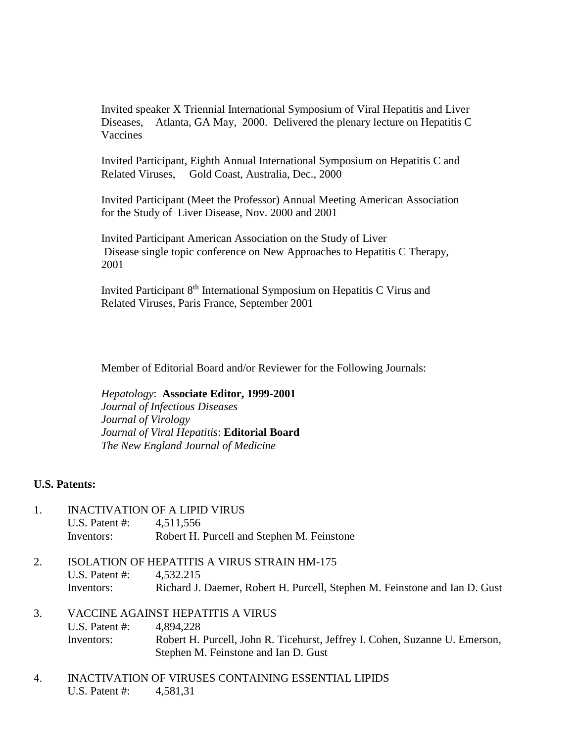Invited speaker X Triennial International Symposium of Viral Hepatitis and Liver Diseases, Atlanta, GA May, 2000. Delivered the plenary lecture on Hepatitis C Vaccines

Invited Participant, Eighth Annual International Symposium on Hepatitis C and Related Viruses, Gold Coast, Australia, Dec., 2000

Invited Participant (Meet the Professor) Annual Meeting American Association for the Study of Liver Disease, Nov. 2000 and 2001

Invited Participant American Association on the Study of Liver Disease single topic conference on New Approaches to Hepatitis C Therapy, 2001

Invited Participant 8th International Symposium on Hepatitis C Virus and Related Viruses, Paris France, September 2001

Member of Editorial Board and/or Reviewer for the Following Journals:

*Hepatology*: **Associate Editor, 1999-2001** *Journal of Infectious Diseases Journal of Virology Journal of Viral Hepatitis*: **Editorial Board** *The New England Journal of Medicine*

### **U.S. Patents:**

- 1. INACTIVATION OF A LIPID VIRUS U.S. Patent #: 4,511,556 Inventors: Robert H. Purcell and Stephen M. Feinstone
- 2. ISOLATION OF HEPATITIS A VIRUS STRAIN HM-175 U.S. Patent #: 4,532.215 Inventors: Richard J. Daemer, Robert H. Purcell, Stephen M. Feinstone and Ian D. Gust
- 3. VACCINE AGAINST HEPATITIS A VIRUS U.S. Patent #: 4,894,228 Inventors: Robert H. Purcell, John R. Ticehurst, Jeffrey I. Cohen, Suzanne U. Emerson, Stephen M. Feinstone and Ian D. Gust
- 4. INACTIVATION OF VIRUSES CONTAINING ESSENTIAL LIPIDS U.S. Patent #: 4,581,31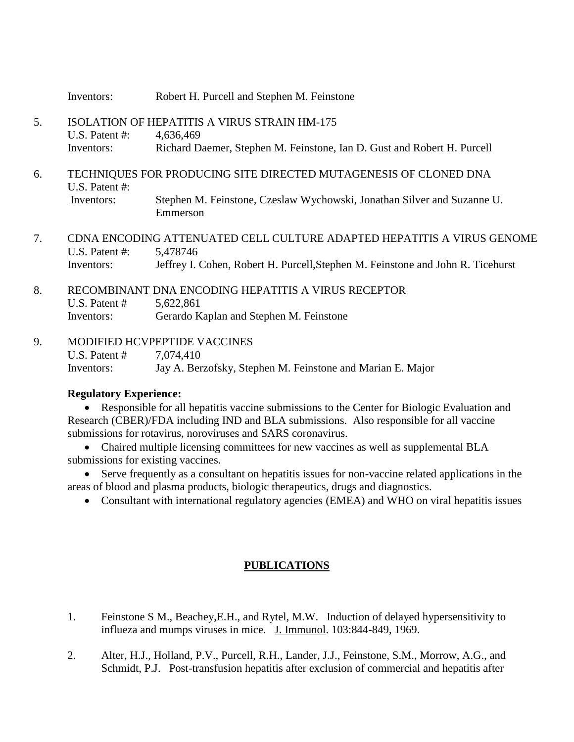Inventors: Robert H. Purcell and Stephen M. Feinstone

- 5. ISOLATION OF HEPATITIS A VIRUS STRAIN HM-175 U.S. Patent #: 4,636,469 Inventors: Richard Daemer, Stephen M. Feinstone, Ian D. Gust and Robert H. Purcell
- 6. TECHNIQUES FOR PRODUCING SITE DIRECTED MUTAGENESIS OF CLONED DNA U.S. Patent #: Inventors: Stephen M. Feinstone, Czeslaw Wychowski, Jonathan Silver and Suzanne U. Emmerson
- 7. CDNA ENCODING ATTENUATED CELL CULTURE ADAPTED HEPATITIS A VIRUS GENOME U.S. Patent #: 5,478746 Inventors: Jeffrey I. Cohen, Robert H. Purcell,Stephen M. Feinstone and John R. Ticehurst
- 8. RECOMBINANT DNA ENCODING HEPATITIS A VIRUS RECEPTOR U.S. Patent # 5,622,861 Inventors: Gerardo Kaplan and Stephen M. Feinstone
- 9. MODIFIED HCVPEPTIDE VACCINES U.S. Patent # 7,074,410 Inventors: Jay A. Berzofsky, Stephen M. Feinstone and Marian E. Major

## **Regulatory Experience:**

 Responsible for all hepatitis vaccine submissions to the Center for Biologic Evaluation and Research (CBER)/FDA including IND and BLA submissions. Also responsible for all vaccine submissions for rotavirus, noroviruses and SARS coronavirus.

- Chaired multiple licensing committees for new vaccines as well as supplemental BLA submissions for existing vaccines.
- Serve frequently as a consultant on hepatitis issues for non-vaccine related applications in the areas of blood and plasma products, biologic therapeutics, drugs and diagnostics.
	- Consultant with international regulatory agencies (EMEA) and WHO on viral hepatitis issues

## **PUBLICATIONS**

- 1. Feinstone S M., Beachey,E.H., and Rytel, M.W. Induction of delayed hypersensitivity to influeza and mumps viruses in mice. J. Immunol. 103:844-849, 1969.
- 2. Alter, H.J., Holland, P.V., Purcell, R.H., Lander, J.J., Feinstone, S.M., Morrow, A.G., and Schmidt, P.J. Post-transfusion hepatitis after exclusion of commercial and hepatitis after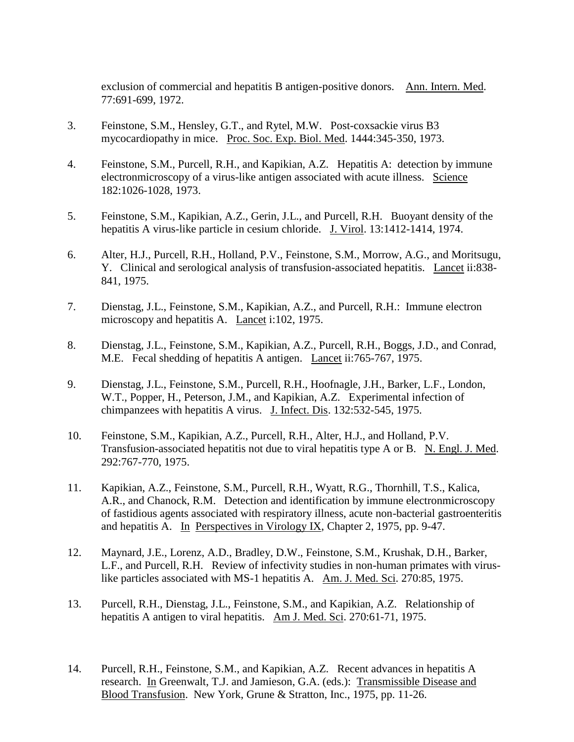exclusion of commercial and hepatitis B antigen-positive donors. Ann. Intern. Med. 77:691-699, 1972.

- 3. Feinstone, S.M., Hensley, G.T., and Rytel, M.W. Post-coxsackie virus B3 mycocardiopathy in mice. Proc. Soc. Exp. Biol. Med. 1444:345-350, 1973.
- 4. Feinstone, S.M., Purcell, R.H., and Kapikian, A.Z. Hepatitis A: detection by immune electronmicroscopy of a virus-like antigen associated with acute illness. Science 182:1026-1028, 1973.
- 5. Feinstone, S.M., Kapikian, A.Z., Gerin, J.L., and Purcell, R.H. Buoyant density of the hepatitis A virus-like particle in cesium chloride. J. Virol. 13:1412-1414, 1974.
- 6. Alter, H.J., Purcell, R.H., Holland, P.V., Feinstone, S.M., Morrow, A.G., and Moritsugu, Y. Clinical and serological analysis of transfusion-associated hepatitis. Lancet ii:838- 841, 1975.
- 7. Dienstag, J.L., Feinstone, S.M., Kapikian, A.Z., and Purcell, R.H.: Immune electron microscopy and hepatitis A. Lancet i:102, 1975.
- 8. Dienstag, J.L., Feinstone, S.M., Kapikian, A.Z., Purcell, R.H., Boggs, J.D., and Conrad, M.E. Fecal shedding of hepatitis A antigen. Lancet ii:765-767, 1975.
- 9. Dienstag, J.L., Feinstone, S.M., Purcell, R.H., Hoofnagle, J.H., Barker, L.F., London, W.T., Popper, H., Peterson, J.M., and Kapikian, A.Z. Experimental infection of chimpanzees with hepatitis A virus. J. Infect. Dis. 132:532-545, 1975.
- 10. Feinstone, S.M., Kapikian, A.Z., Purcell, R.H., Alter, H.J., and Holland, P.V. Transfusion-associated hepatitis not due to viral hepatitis type A or B. N. Engl. J. Med. 292:767-770, 1975.
- 11. Kapikian, A.Z., Feinstone, S.M., Purcell, R.H., Wyatt, R.G., Thornhill, T.S., Kalica, A.R., and Chanock, R.M. Detection and identification by immune electronmicroscopy of fastidious agents associated with respiratory illness, acute non-bacterial gastroenteritis and hepatitis A. In Perspectives in Virology IX, Chapter 2, 1975, pp. 9-47.
- 12. Maynard, J.E., Lorenz, A.D., Bradley, D.W., Feinstone, S.M., Krushak, D.H., Barker, L.F., and Purcell, R.H. Review of infectivity studies in non-human primates with viruslike particles associated with MS-1 hepatitis A. Am. J. Med. Sci. 270:85, 1975.
- 13. Purcell, R.H., Dienstag, J.L., Feinstone, S.M., and Kapikian, A.Z. Relationship of hepatitis A antigen to viral hepatitis. Am J. Med. Sci. 270:61-71, 1975.
- 14. Purcell, R.H., Feinstone, S.M., and Kapikian, A.Z. Recent advances in hepatitis A research. In Greenwalt, T.J. and Jamieson, G.A. (eds.): Transmissible Disease and Blood Transfusion. New York, Grune & Stratton, Inc., 1975, pp. 11-26.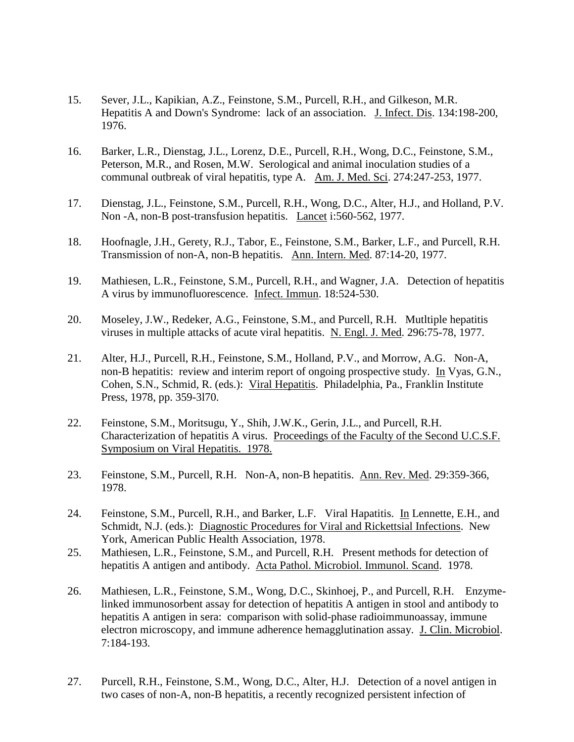- 15. Sever, J.L., Kapikian, A.Z., Feinstone, S.M., Purcell, R.H., and Gilkeson, M.R. Hepatitis A and Down's Syndrome: lack of an association. J. Infect. Dis. 134:198-200, 1976.
- 16. Barker, L.R., Dienstag, J.L., Lorenz, D.E., Purcell, R.H., Wong, D.C., Feinstone, S.M., Peterson, M.R., and Rosen, M.W. Serological and animal inoculation studies of a communal outbreak of viral hepatitis, type A. Am. J. Med. Sci. 274:247-253, 1977.
- 17. Dienstag, J.L., Feinstone, S.M., Purcell, R.H., Wong, D.C., Alter, H.J., and Holland, P.V. Non -A, non-B post-transfusion hepatitis. Lancet i:560-562, 1977.
- 18. Hoofnagle, J.H., Gerety, R.J., Tabor, E., Feinstone, S.M., Barker, L.F., and Purcell, R.H. Transmission of non-A, non-B hepatitis. Ann. Intern. Med. 87:14-20, 1977.
- 19. Mathiesen, L.R., Feinstone, S.M., Purcell, R.H., and Wagner, J.A. Detection of hepatitis A virus by immunofluorescence. Infect. Immun. 18:524-530.
- 20. Moseley, J.W., Redeker, A.G., Feinstone, S.M., and Purcell, R.H. Mutltiple hepatitis viruses in multiple attacks of acute viral hepatitis. N. Engl. J. Med. 296:75-78, 1977.
- 21. Alter, H.J., Purcell, R.H., Feinstone, S.M., Holland, P.V., and Morrow, A.G. Non-A, non-B hepatitis: review and interim report of ongoing prospective study. In Vyas, G.N., Cohen, S.N., Schmid, R. (eds.): Viral Hepatitis. Philadelphia, Pa., Franklin Institute Press, 1978, pp. 359-3l70.
- 22. Feinstone, S.M., Moritsugu, Y., Shih, J.W.K., Gerin, J.L., and Purcell, R.H. Characterization of hepatitis A virus. Proceedings of the Faculty of the Second U.C.S.F. Symposium on Viral Hepatitis. 1978.
- 23. Feinstone, S.M., Purcell, R.H. Non-A, non-B hepatitis. Ann. Rev. Med. 29:359-366, 1978.
- 24. Feinstone, S.M., Purcell, R.H., and Barker, L.F. Viral Hapatitis. In Lennette, E.H., and Schmidt, N.J. (eds.): Diagnostic Procedures for Viral and Rickettsial Infections. New York, American Public Health Association, 1978.
- 25. Mathiesen, L.R., Feinstone, S.M., and Purcell, R.H. Present methods for detection of hepatitis A antigen and antibody. Acta Pathol. Microbiol. Immunol. Scand. 1978.
- 26. Mathiesen, L.R., Feinstone, S.M., Wong, D.C., Skinhoej, P., and Purcell, R.H. Enzymelinked immunosorbent assay for detection of hepatitis A antigen in stool and antibody to hepatitis A antigen in sera: comparison with solid-phase radioimmunoassay, immune electron microscopy, and immune adherence hemagglutination assay. J. Clin. Microbiol. 7:184-193.
- 27. Purcell, R.H., Feinstone, S.M., Wong, D.C., Alter, H.J. Detection of a novel antigen in two cases of non-A, non-B hepatitis, a recently recognized persistent infection of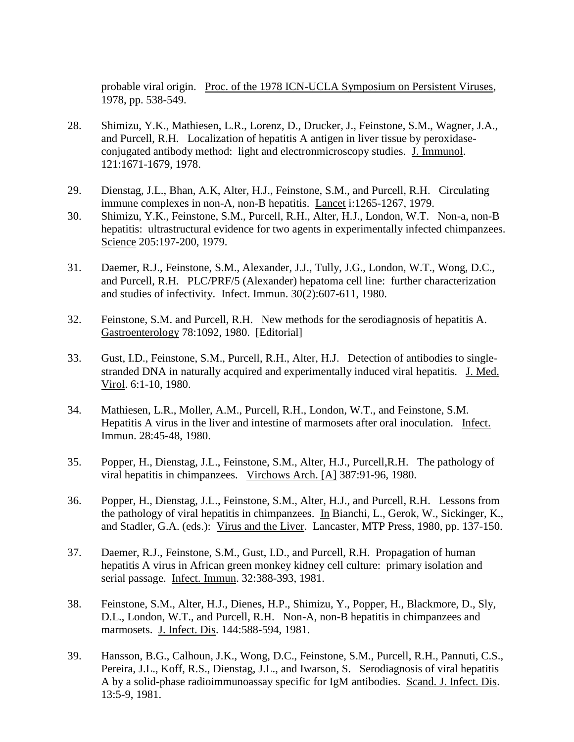probable viral origin. Proc. of the 1978 ICN-UCLA Symposium on Persistent Viruses, 1978, pp. 538-549.

- 28. Shimizu, Y.K., Mathiesen, L.R., Lorenz, D., Drucker, J., Feinstone, S.M., Wagner, J.A., and Purcell, R.H. Localization of hepatitis A antigen in liver tissue by peroxidaseconjugated antibody method: light and electronmicroscopy studies. J. Immunol. 121:1671-1679, 1978.
- 29. Dienstag, J.L., Bhan, A.K, Alter, H.J., Feinstone, S.M., and Purcell, R.H. Circulating immune complexes in non-A, non-B hepatitis. Lancet i:1265-1267, 1979.
- 30. Shimizu, Y.K., Feinstone, S.M., Purcell, R.H., Alter, H.J., London, W.T. Non-a, non-B hepatitis: ultrastructural evidence for two agents in experimentally infected chimpanzees. Science 205:197-200, 1979.
- 31. Daemer, R.J., Feinstone, S.M., Alexander, J.J., Tully, J.G., London, W.T., Wong, D.C., and Purcell, R.H. PLC/PRF/5 (Alexander) hepatoma cell line: further characterization and studies of infectivity. Infect. Immun. 30(2):607-611, 1980.
- 32. Feinstone, S.M. and Purcell, R.H. New methods for the serodiagnosis of hepatitis A. Gastroenterology 78:1092, 1980. [Editorial]
- 33. Gust, I.D., Feinstone, S.M., Purcell, R.H., Alter, H.J. Detection of antibodies to singlestranded DNA in naturally acquired and experimentally induced viral hepatitis. J. Med. Virol. 6:1-10, 1980.
- 34. Mathiesen, L.R., Moller, A.M., Purcell, R.H., London, W.T., and Feinstone, S.M. Hepatitis A virus in the liver and intestine of marmosets after oral inoculation. Infect. Immun. 28:45-48, 1980.
- 35. Popper, H., Dienstag, J.L., Feinstone, S.M., Alter, H.J., Purcell,R.H. The pathology of viral hepatitis in chimpanzees. Virchows Arch. [A] 387:91-96, 1980.
- 36. Popper, H., Dienstag, J.L., Feinstone, S.M., Alter, H.J., and Purcell, R.H. Lessons from the pathology of viral hepatitis in chimpanzees. In Bianchi, L., Gerok, W., Sickinger, K., and Stadler, G.A. (eds.): Virus and the Liver. Lancaster, MTP Press, 1980, pp. 137-150.
- 37. Daemer, R.J., Feinstone, S.M., Gust, I.D., and Purcell, R.H. Propagation of human hepatitis A virus in African green monkey kidney cell culture: primary isolation and serial passage. Infect. Immun. 32:388-393, 1981.
- 38. Feinstone, S.M., Alter, H.J., Dienes, H.P., Shimizu, Y., Popper, H., Blackmore, D., Sly, D.L., London, W.T., and Purcell, R.H. Non-A, non-B hepatitis in chimpanzees and marmosets. J. Infect. Dis. 144:588-594, 1981.
- 39. Hansson, B.G., Calhoun, J.K., Wong, D.C., Feinstone, S.M., Purcell, R.H., Pannuti, C.S., Pereira, J.L., Koff, R.S., Dienstag, J.L., and Iwarson, S. Serodiagnosis of viral hepatitis A by a solid-phase radioimmunoassay specific for IgM antibodies. Scand. J. Infect. Dis. 13:5-9, 1981.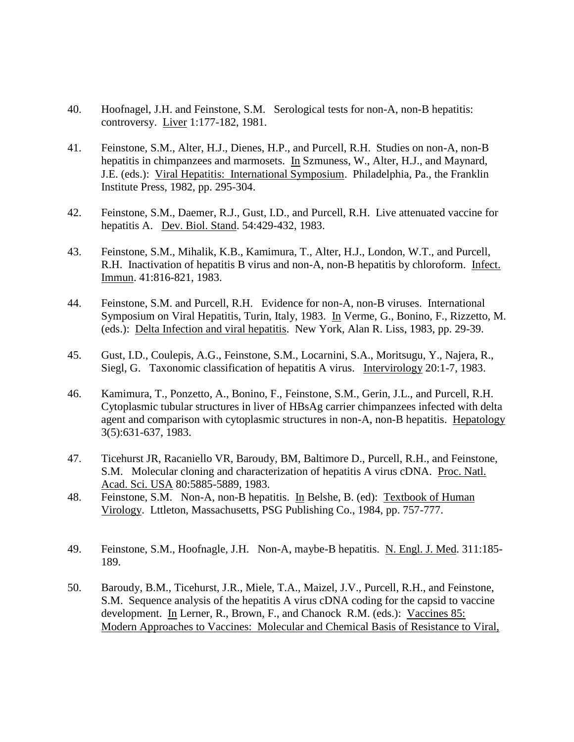- 40. Hoofnagel, J.H. and Feinstone, S.M. Serological tests for non-A, non-B hepatitis: controversy. Liver 1:177-182, 1981.
- 41. Feinstone, S.M., Alter, H.J., Dienes, H.P., and Purcell, R.H. Studies on non-A, non-B hepatitis in chimpanzees and marmosets. In Szmuness, W., Alter, H.J., and Maynard, J.E. (eds.): Viral Hepatitis: International Symposium. Philadelphia, Pa., the Franklin Institute Press, 1982, pp. 295-304.
- 42. Feinstone, S.M., Daemer, R.J., Gust, I.D., and Purcell, R.H. Live attenuated vaccine for hepatitis A. Dev. Biol. Stand. 54:429-432, 1983.
- 43. Feinstone, S.M., Mihalik, K.B., Kamimura, T., Alter, H.J., London, W.T., and Purcell, R.H. Inactivation of hepatitis B virus and non-A, non-B hepatitis by chloroform. Infect. Immun. 41:816-821, 1983.
- 44. Feinstone, S.M. and Purcell, R.H. Evidence for non-A, non-B viruses. International Symposium on Viral Hepatitis, Turin, Italy, 1983. In Verme, G., Bonino, F., Rizzetto, M. (eds.): Delta Infection and viral hepatitis. New York, Alan R. Liss, 1983, pp. 29-39.
- 45. Gust, I.D., Coulepis, A.G., Feinstone, S.M., Locarnini, S.A., Moritsugu, Y., Najera, R., Siegl, G. Taxonomic classification of hepatitis A virus. Intervirology 20:1-7, 1983.
- 46. Kamimura, T., Ponzetto, A., Bonino, F., Feinstone, S.M., Gerin, J.L., and Purcell, R.H. Cytoplasmic tubular structures in liver of HBsAg carrier chimpanzees infected with delta agent and comparison with cytoplasmic structures in non-A, non-B hepatitis. Hepatology 3(5):631-637, 1983.
- 47. Ticehurst JR, Racaniello VR, Baroudy, BM, Baltimore D., Purcell, R.H., and Feinstone, S.M. Molecular cloning and characterization of hepatitis A virus cDNA. Proc. Natl. Acad. Sci. USA 80:5885-5889, 1983.
- 48. Feinstone, S.M. Non-A, non-B hepatitis. In Belshe, B. (ed): Textbook of Human Virology. Lttleton, Massachusetts, PSG Publishing Co., 1984, pp. 757-777.
- 49. Feinstone, S.M., Hoofnagle, J.H. Non-A, maybe-B hepatitis. N. Engl. J. Med. 311:185- 189.
- 50. Baroudy, B.M., Ticehurst, J.R., Miele, T.A., Maizel, J.V., Purcell, R.H., and Feinstone, S.M. Sequence analysis of the hepatitis A virus cDNA coding for the capsid to vaccine development. In Lerner, R., Brown, F., and Chanock R.M. (eds.): Vaccines 85: Modern Approaches to Vaccines: Molecular and Chemical Basis of Resistance to Viral,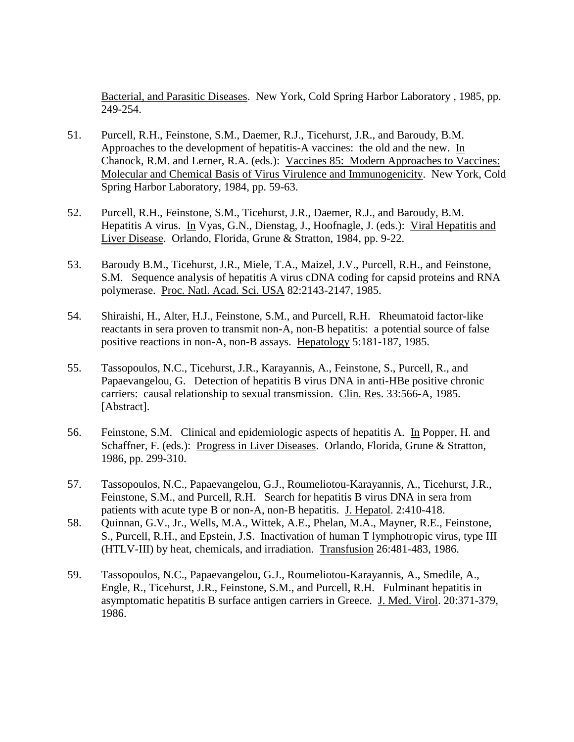Bacterial, and Parasitic Diseases. New York, Cold Spring Harbor Laboratory , 1985, pp. 249-254.

- 51. Purcell, R.H., Feinstone, S.M., Daemer, R.J., Ticehurst, J.R., and Baroudy, B.M. Approaches to the development of hepatitis-A vaccines: the old and the new. In Chanock, R.M. and Lerner, R.A. (eds.): Vaccines 85: Modern Approaches to Vaccines: Molecular and Chemical Basis of Virus Virulence and Immunogenicity. New York, Cold Spring Harbor Laboratory, 1984, pp. 59-63.
- 52. Purcell, R.H., Feinstone, S.M., Ticehurst, J.R., Daemer, R.J., and Baroudy, B.M. Hepatitis A virus. In Vyas, G.N., Dienstag, J., Hoofnagle, J. (eds.): Viral Hepatitis and Liver Disease. Orlando, Florida, Grune & Stratton, 1984, pp. 9-22.
- 53. Baroudy B.M., Ticehurst, J.R., Miele, T.A., Maizel, J.V., Purcell, R.H., and Feinstone, S.M. Sequence analysis of hepatitis A virus cDNA coding for capsid proteins and RNA polymerase. Proc. Natl. Acad. Sci. USA 82:2143-2147, 1985.
- 54. Shiraishi, H., Alter, H.J., Feinstone, S.M., and Purcell, R.H. Rheumatoid factor-like reactants in sera proven to transmit non-A, non-B hepatitis: a potential source of false positive reactions in non-A, non-B assays. Hepatology 5:181-187, 1985.
- 55. Tassopoulos, N.C., Ticehurst, J.R., Karayannis, A., Feinstone, S., Purcell, R., and Papaevangelou, G. Detection of hepatitis B virus DNA in anti-HBe positive chronic carriers: causal relationship to sexual transmission. Clin. Res. 33:566-A, 1985. [Abstract].
- 56. Feinstone, S.M. Clinical and epidemiologic aspects of hepatitis A. In Popper, H. and Schaffner, F. (eds.): Progress in Liver Diseases. Orlando, Florida, Grune & Stratton, 1986, pp. 299-310.
- 57. Tassopoulos, N.C., Papaevangelou, G.J., Roumeliotou-Karayannis, A., Ticehurst, J.R., Feinstone, S.M., and Purcell, R.H. Search for hepatitis B virus DNA in sera from patients with acute type B or non-A, non-B hepatitis. J. Hepatol. 2:410-418.
- 58. Quinnan, G.V., Jr., Wells, M.A., Wittek, A.E., Phelan, M.A., Mayner, R.E., Feinstone, S., Purcell, R.H., and Epstein, J.S. Inactivation of human T lymphotropic virus, type III (HTLV-III) by heat, chemicals, and irradiation. Transfusion 26:481-483, 1986.
- 59. Tassopoulos, N.C., Papaevangelou, G.J., Roumeliotou-Karayannis, A., Smedile, A., Engle, R., Ticehurst, J.R., Feinstone, S.M., and Purcell, R.H. Fulminant hepatitis in asymptomatic hepatitis B surface antigen carriers in Greece. J. Med. Virol. 20:371-379, 1986.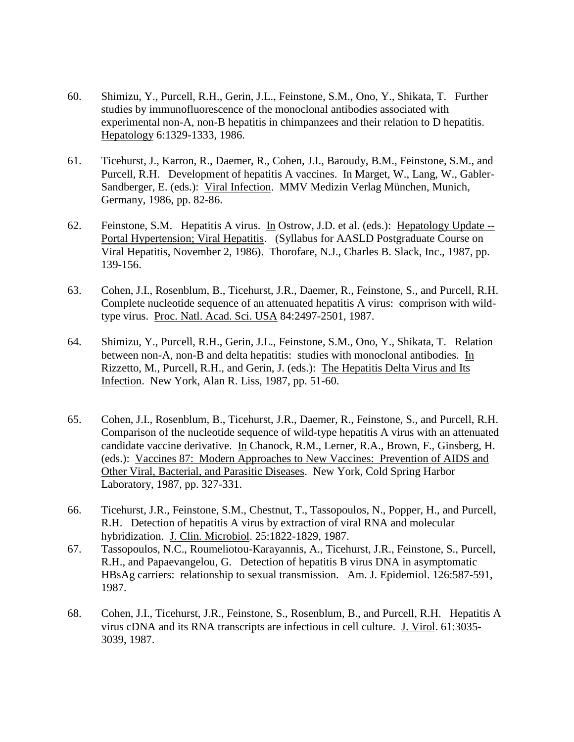- 60. Shimizu, Y., Purcell, R.H., Gerin, J.L., Feinstone, S.M., Ono, Y., Shikata, T. Further studies by immunofluorescence of the monoclonal antibodies associated with experimental non-A, non-B hepatitis in chimpanzees and their relation to D hepatitis. Hepatology 6:1329-1333, 1986.
- 61. Ticehurst, J., Karron, R., Daemer, R., Cohen, J.I., Baroudy, B.M., Feinstone, S.M., and Purcell, R.H. Development of hepatitis A vaccines. In Marget, W., Lang, W., Gabler-Sandberger, E. (eds.): Viral Infection. MMV Medizin Verlag München, Munich, Germany, 1986, pp. 82-86.
- 62. Feinstone, S.M. Hepatitis A virus. In Ostrow, J.D. et al. (eds.): Hepatology Update -- Portal Hypertension; Viral Hepatitis. (Syllabus for AASLD Postgraduate Course on Viral Hepatitis, November 2, 1986). Thorofare, N.J., Charles B. Slack, Inc., 1987, pp. 139-156.
- 63. Cohen, J.I., Rosenblum, B., Ticehurst, J.R., Daemer, R., Feinstone, S., and Purcell, R.H. Complete nucleotide sequence of an attenuated hepatitis A virus: comprison with wildtype virus. Proc. Natl. Acad. Sci. USA 84:2497-2501, 1987.
- 64. Shimizu, Y., Purcell, R.H., Gerin, J.L., Feinstone, S.M., Ono, Y., Shikata, T. Relation between non-A, non-B and delta hepatitis: studies with monoclonal antibodies. In Rizzetto, M., Purcell, R.H., and Gerin, J. (eds.): The Hepatitis Delta Virus and Its Infection. New York, Alan R. Liss, 1987, pp. 51-60.
- 65. Cohen, J.I., Rosenblum, B., Ticehurst, J.R., Daemer, R., Feinstone, S., and Purcell, R.H. Comparison of the nucleotide sequence of wild-type hepatitis A virus with an attenuated candidate vaccine derivative. In Chanock, R.M., Lerner, R.A., Brown, F., Ginsberg, H. (eds.): Vaccines 87: Modern Approaches to New Vaccines: Prevention of AIDS and Other Viral, Bacterial, and Parasitic Diseases. New York, Cold Spring Harbor Laboratory, 1987, pp. 327-331.
- 66. Ticehurst, J.R., Feinstone, S.M., Chestnut, T., Tassopoulos, N., Popper, H., and Purcell, R.H. Detection of hepatitis A virus by extraction of viral RNA and molecular hybridization. J. Clin. Microbiol. 25:1822-1829, 1987.
- 67. Tassopoulos, N.C., Roumeliotou-Karayannis, A., Ticehurst, J.R., Feinstone, S., Purcell, R.H., and Papaevangelou, G. Detection of hepatitis B virus DNA in asymptomatic HBsAg carriers: relationship to sexual transmission. Am. J. Epidemiol. 126:587-591, 1987.
- 68. Cohen, J.I., Ticehurst, J.R., Feinstone, S., Rosenblum, B., and Purcell, R.H. Hepatitis A virus cDNA and its RNA transcripts are infectious in cell culture. J. Virol. 61:3035- 3039, 1987.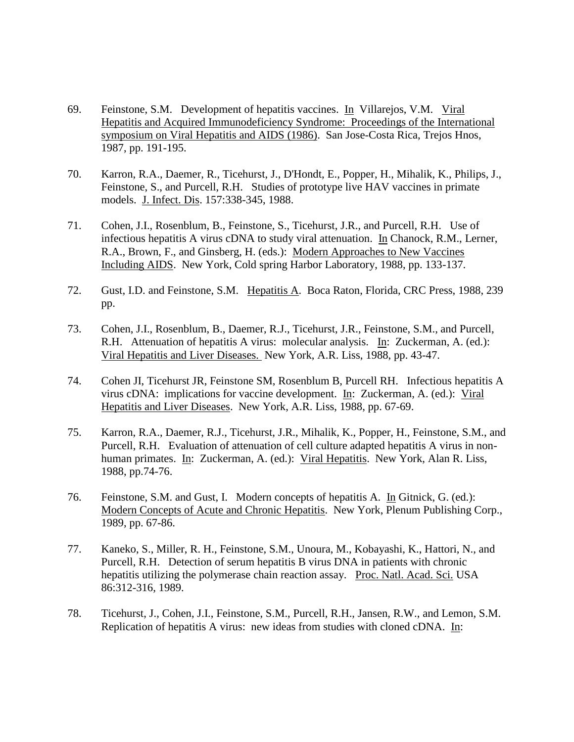- 69. Feinstone, S.M. Development of hepatitis vaccines. In Villarejos, V.M. Viral Hepatitis and Acquired Immunodeficiency Syndrome: Proceedings of the International symposium on Viral Hepatitis and AIDS (1986). San Jose-Costa Rica, Trejos Hnos, 1987, pp. 191-195.
- 70. Karron, R.A., Daemer, R., Ticehurst, J., D'Hondt, E., Popper, H., Mihalik, K., Philips, J., Feinstone, S., and Purcell, R.H. Studies of prototype live HAV vaccines in primate models. J. Infect. Dis. 157:338-345, 1988.
- 71. Cohen, J.I., Rosenblum, B., Feinstone, S., Ticehurst, J.R., and Purcell, R.H. Use of infectious hepatitis A virus cDNA to study viral attenuation. In Chanock, R.M., Lerner, R.A., Brown, F., and Ginsberg, H. (eds.): Modern Approaches to New Vaccines Including AIDS. New York, Cold spring Harbor Laboratory, 1988, pp. 133-137.
- 72. Gust, I.D. and Feinstone, S.M. Hepatitis A. Boca Raton, Florida, CRC Press, 1988, 239 pp.
- 73. Cohen, J.I., Rosenblum, B., Daemer, R.J., Ticehurst, J.R., Feinstone, S.M., and Purcell, R.H. Attenuation of hepatitis A virus: molecular analysis. In: Zuckerman, A. (ed.): Viral Hepatitis and Liver Diseases. New York, A.R. Liss, 1988, pp. 43-47.
- 74. Cohen JI, Ticehurst JR, Feinstone SM, Rosenblum B, Purcell RH. Infectious hepatitis A virus cDNA: implications for vaccine development. In: Zuckerman, A. (ed.): Viral Hepatitis and Liver Diseases. New York, A.R. Liss, 1988, pp. 67-69.
- 75. Karron, R.A., Daemer, R.J., Ticehurst, J.R., Mihalik, K., Popper, H., Feinstone, S.M., and Purcell, R.H. Evaluation of attenuation of cell culture adapted hepatitis A virus in nonhuman primates. In: Zuckerman, A. (ed.): Viral Hepatitis. New York, Alan R. Liss, 1988, pp.74-76.
- 76. Feinstone, S.M. and Gust, I. Modern concepts of hepatitis A. In Gitnick, G. (ed.): Modern Concepts of Acute and Chronic Hepatitis. New York, Plenum Publishing Corp., 1989, pp. 67-86.
- 77. Kaneko, S., Miller, R. H., Feinstone, S.M., Unoura, M., Kobayashi, K., Hattori, N., and Purcell, R.H. Detection of serum hepatitis B virus DNA in patients with chronic hepatitis utilizing the polymerase chain reaction assay. Proc. Natl. Acad. Sci. USA 86:312-316, 1989.
- 78. Ticehurst, J., Cohen, J.I., Feinstone, S.M., Purcell, R.H., Jansen, R.W., and Lemon, S.M. Replication of hepatitis A virus: new ideas from studies with cloned cDNA. In: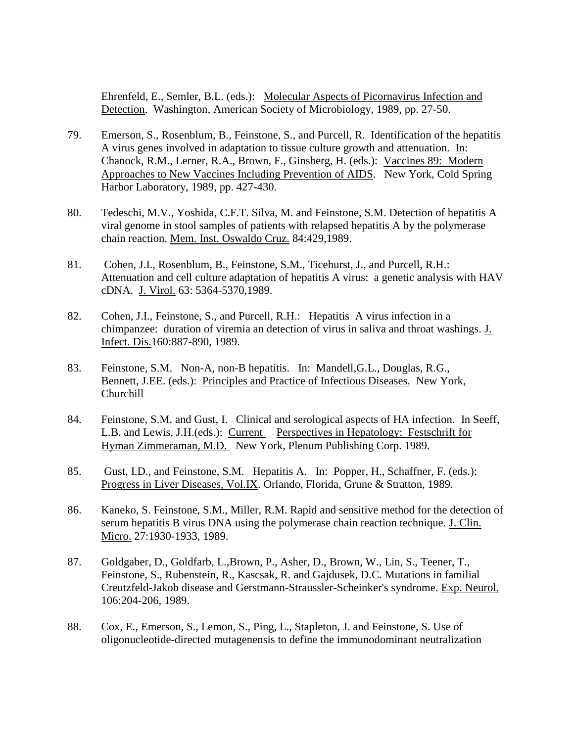Ehrenfeld, E., Semler, B.L. (eds.): Molecular Aspects of Picornavirus Infection and Detection. Washington, American Society of Microbiology, 1989, pp. 27-50.

- 79. Emerson, S., Rosenblum, B., Feinstone, S., and Purcell, R. Identification of the hepatitis A virus genes involved in adaptation to tissue culture growth and attenuation. In: Chanock, R.M., Lerner, R.A., Brown, F., Ginsberg, H. (eds.): Vaccines 89: Modern Approaches to New Vaccines Including Prevention of AIDS. New York, Cold Spring Harbor Laboratory, 1989, pp. 427-430.
- 80. Tedeschi, M.V., Yoshida, C.F.T. Silva, M. and Feinstone, S.M. Detection of hepatitis A viral genome in stool samples of patients with relapsed hepatitis A by the polymerase chain reaction. Mem. Inst. Oswaldo Cruz. 84:429,1989.
- 81. Cohen, J.I., Rosenblum, B., Feinstone, S.M., Ticehurst, J., and Purcell, R.H.: Attenuation and cell culture adaptation of hepatitis A virus: a genetic analysis with HAV cDNA. J. Virol. 63: 5364-5370,1989.
- 82. Cohen, J.I., Feinstone, S., and Purcell, R.H.: Hepatitis A virus infection in a chimpanzee: duration of viremia an detection of virus in saliva and throat washings. J. Infect. Dis.160:887-890, 1989.
- 83. Feinstone, S.M. Non-A, non-B hepatitis. In: Mandell,G.L., Douglas, R.G., Bennett, J.EE. (eds.): Principles and Practice of Infectious Diseases. New York, Churchill
- 84. Feinstone, S.M. and Gust, I. Clinical and serological aspects of HA infection. In Seeff, L.B. and Lewis, J.H.(eds.): Current Perspectives in Hepatology: Festschrift for Hyman Zimmeraman, M.D. New York, Plenum Publishing Corp. 1989.
- 85. Gust, I.D., and Feinstone, S.M. Hepatitis A. In: Popper, H., Schaffner, F. (eds.): Progress in Liver Diseases, Vol.IX. Orlando, Florida, Grune & Stratton, 1989.
- 86. Kaneko, S. Feinstone, S.M., Miller, R.M. Rapid and sensitive method for the detection of serum hepatitis B virus DNA using the polymerase chain reaction technique. J. Clin. Micro. 27:1930-1933, 1989.
- 87. Goldgaber, D., Goldfarb, L.,Brown, P., Asher, D., Brown, W., Lin, S., Teener, T., Feinstone, S., Rubenstein, R., Kascsak, R. and Gajdusek, D.C. Mutations in familial Creutzfeld-Jakob disease and Gerstmann-Straussler-Scheinker's syndrome. Exp. Neurol. 106:204-206, 1989.
- 88. Cox, E., Emerson, S., Lemon, S., Ping, L., Stapleton, J. and Feinstone, S. Use of oligonucleotide-directed mutagenensis to define the immunodominant neutralization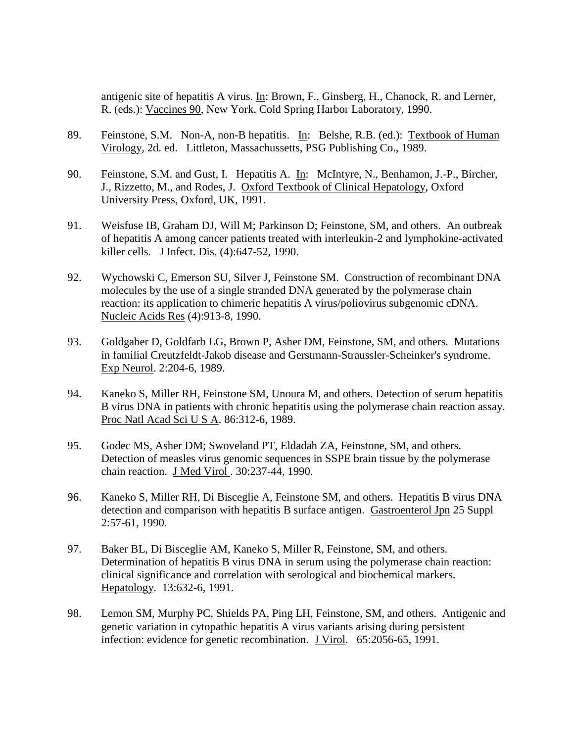antigenic site of hepatitis A virus. In: Brown, F., Ginsberg, H., Chanock, R. and Lerner, R. (eds.): Vaccines 90, New York, Cold Spring Harbor Laboratory, 1990.

- 89. Feinstone, S.M. Non-A, non-B hepatitis. In: Belshe, R.B. (ed.): Textbook of Human Virology, 2d. ed. Littleton, Massachussetts, PSG Publishing Co., 1989.
- 90. Feinstone, S.M. and Gust, I. Hepatitis A. In: McIntyre, N., Benhamon, J.-P., Bircher, J., Rizzetto, M., and Rodes, J. Oxford Textbook of Clinical Hepatology, Oxford University Press, Oxford, UK, 1991.
- 91. Weisfuse IB, Graham DJ, Will M; Parkinson D; Feinstone, SM, and others. An outbreak of hepatitis A among cancer patients treated with interleukin-2 and lymphokine-activated killer cells. J Infect. Dis. (4):647-52, 1990.
- 92. Wychowski C, Emerson SU, Silver J, Feinstone SM. Construction of recombinant DNA molecules by the use of a single stranded DNA generated by the polymerase chain reaction: its application to chimeric hepatitis A virus/poliovirus subgenomic cDNA. Nucleic Acids Res (4):913-8, 1990.
- 93. Goldgaber D, Goldfarb LG, Brown P, Asher DM, Feinstone, SM, and others. Mutations in familial Creutzfeldt-Jakob disease and Gerstmann-Straussler-Scheinker's syndrome. Exp Neurol. 2:204-6, 1989.
- 94. Kaneko S, Miller RH, Feinstone SM, Unoura M, and others. Detection of serum hepatitis B virus DNA in patients with chronic hepatitis using the polymerase chain reaction assay. Proc Natl Acad Sci U S A. 86:312-6, 1989.
- 95. Godec MS, Asher DM; Swoveland PT, Eldadah ZA, Feinstone, SM, and others. Detection of measles virus genomic sequences in SSPE brain tissue by the polymerase chain reaction. J Med Virol . 30:237-44, 1990.
- 96. Kaneko S, Miller RH, Di Bisceglie A, Feinstone SM, and others. Hepatitis B virus DNA detection and comparison with hepatitis B surface antigen. Gastroenterol Jpn 25 Suppl 2:57-61, 1990.
- 97. Baker BL, Di Bisceglie AM, Kaneko S, Miller R, Feinstone, SM, and others. Determination of hepatitis B virus DNA in serum using the polymerase chain reaction: clinical significance and correlation with serological and biochemical markers. Hepatology. 13:632-6, 1991.
- 98. Lemon SM, Murphy PC, Shields PA, Ping LH, Feinstone, SM, and others. Antigenic and genetic variation in cytopathic hepatitis A virus variants arising during persistent infection: evidence for genetic recombination. J Virol. 65:2056-65, 1991.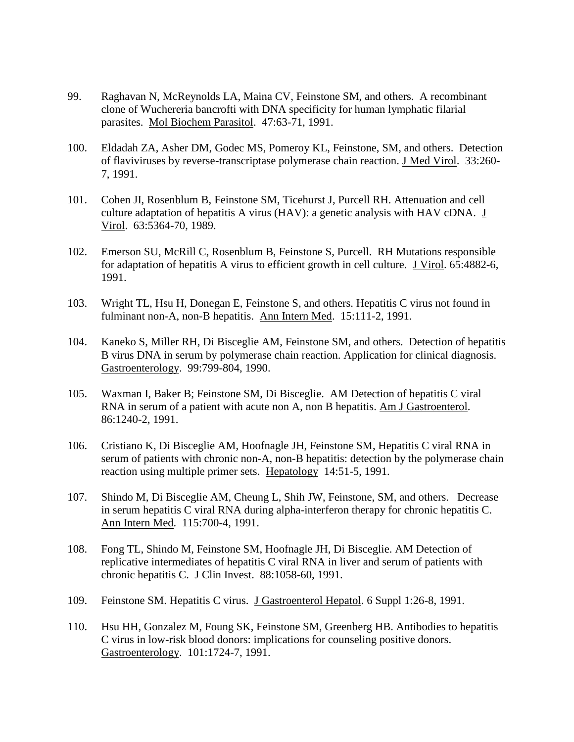- 99. Raghavan N, McReynolds LA, Maina CV, Feinstone SM, and others. A recombinant clone of Wuchereria bancrofti with DNA specificity for human lymphatic filarial parasites. Mol Biochem Parasitol. 47:63-71, 1991.
- 100. Eldadah ZA, Asher DM, Godec MS, Pomeroy KL, Feinstone, SM, and others. Detection of flaviviruses by reverse-transcriptase polymerase chain reaction. J Med Virol. 33:260- 7, 1991.
- 101. Cohen JI, Rosenblum B, Feinstone SM, Ticehurst J, Purcell RH. Attenuation and cell culture adaptation of hepatitis A virus (HAV): a genetic analysis with HAV cDNA. J Virol. 63:5364-70, 1989.
- 102. Emerson SU, McRill C, Rosenblum B, Feinstone S, Purcell. RH Mutations responsible for adaptation of hepatitis A virus to efficient growth in cell culture. J Virol. 65:4882-6, 1991.
- 103. Wright TL, Hsu H, Donegan E, Feinstone S, and others. Hepatitis C virus not found in fulminant non-A, non-B hepatitis. Ann Intern Med. 15:111-2, 1991.
- 104. Kaneko S, Miller RH, Di Bisceglie AM, Feinstone SM, and others. Detection of hepatitis B virus DNA in serum by polymerase chain reaction. Application for clinical diagnosis. Gastroenterology. 99:799-804, 1990.
- 105. Waxman I, Baker B; Feinstone SM, Di Bisceglie. AM Detection of hepatitis C viral RNA in serum of a patient with acute non A, non B hepatitis. Am J Gastroenterol. 86:1240-2, 1991.
- 106. Cristiano K, Di Bisceglie AM, Hoofnagle JH, Feinstone SM, Hepatitis C viral RNA in serum of patients with chronic non-A, non-B hepatitis: detection by the polymerase chain reaction using multiple primer sets. Hepatology 14:51-5, 1991.
- 107. Shindo M, Di Bisceglie AM, Cheung L, Shih JW, Feinstone, SM, and others. Decrease in serum hepatitis C viral RNA during alpha-interferon therapy for chronic hepatitis C. Ann Intern Med. 115:700-4, 1991.
- 108. Fong TL, Shindo M, Feinstone SM, Hoofnagle JH, Di Bisceglie. AM Detection of replicative intermediates of hepatitis C viral RNA in liver and serum of patients with chronic hepatitis C. J Clin Invest. 88:1058-60, 1991.
- 109. Feinstone SM. Hepatitis C virus. J Gastroenterol Hepatol. 6 Suppl 1:26-8, 1991.
- 110. Hsu HH, Gonzalez M, Foung SK, Feinstone SM, Greenberg HB. Antibodies to hepatitis C virus in low-risk blood donors: implications for counseling positive donors. Gastroenterology. 101:1724-7, 1991.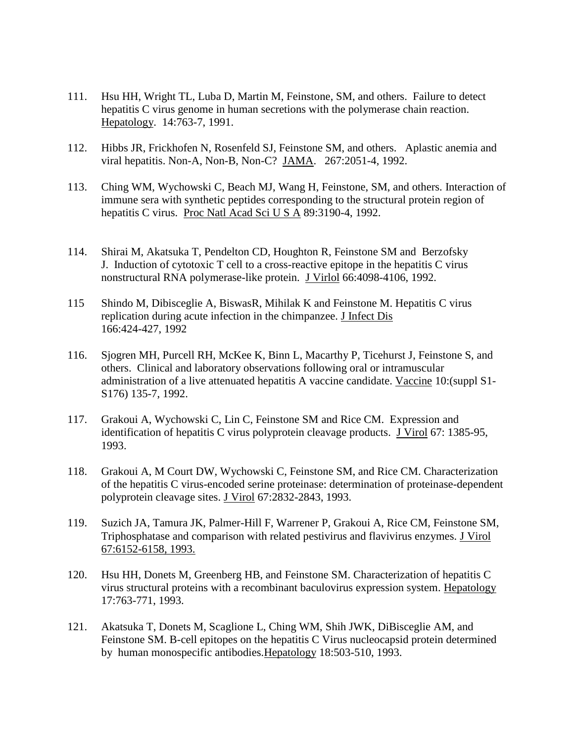- 111. Hsu HH, Wright TL, Luba D, Martin M, Feinstone, SM, and others. Failure to detect hepatitis C virus genome in human secretions with the polymerase chain reaction. Hepatology. 14:763-7, 1991.
- 112. Hibbs JR, Frickhofen N, Rosenfeld SJ, Feinstone SM, and others. Aplastic anemia and viral hepatitis. Non-A, Non-B, Non-C? JAMA. 267:2051-4, 1992.
- 113. Ching WM, Wychowski C, Beach MJ, Wang H, Feinstone, SM, and others. Interaction of immune sera with synthetic peptides corresponding to the structural protein region of hepatitis C virus. Proc Natl Acad Sci U S A 89:3190-4, 1992.
- 114. Shirai M, Akatsuka T, Pendelton CD, Houghton R, Feinstone SM and Berzofsky J. Induction of cytotoxic T cell to a cross-reactive epitope in the hepatitis C virus nonstructural RNA polymerase-like protein. J Virlol 66:4098-4106, 1992.
- 115 Shindo M, Dibisceglie A, BiswasR, Mihilak K and Feinstone M. Hepatitis C virus replication during acute infection in the chimpanzee. J Infect Dis 166:424-427, 1992
- 116. Sjogren MH, Purcell RH, McKee K, Binn L, Macarthy P, Ticehurst J, Feinstone S, and others. Clinical and laboratory observations following oral or intramuscular administration of a live attenuated hepatitis A vaccine candidate. Vaccine 10:(suppl S1- S176) 135-7, 1992.
- 117. Grakoui A, Wychowski C, Lin C, Feinstone SM and Rice CM. Expression and identification of hepatitis C virus polyprotein cleavage products. J Virol 67: 1385-95, 1993.
- 118. Grakoui A, M Court DW, Wychowski C, Feinstone SM, and Rice CM. Characterization of the hepatitis C virus-encoded serine proteinase: determination of proteinase-dependent polyprotein cleavage sites. J Virol 67:2832-2843, 1993.
- 119. Suzich JA, Tamura JK, Palmer-Hill F, Warrener P, Grakoui A, Rice CM, Feinstone SM, Triphosphatase and comparison with related pestivirus and flavivirus enzymes. J Virol 67:6152-6158, 1993.
- 120. Hsu HH, Donets M, Greenberg HB, and Feinstone SM. Characterization of hepatitis C virus structural proteins with a recombinant baculovirus expression system. Hepatology 17:763-771, 1993.
- 121. Akatsuka T, Donets M, Scaglione L, Ching WM, Shih JWK, DiBisceglie AM, and Feinstone SM. B-cell epitopes on the hepatitis C Virus nucleocapsid protein determined by human monospecific antibodies.Hepatology 18:503-510, 1993.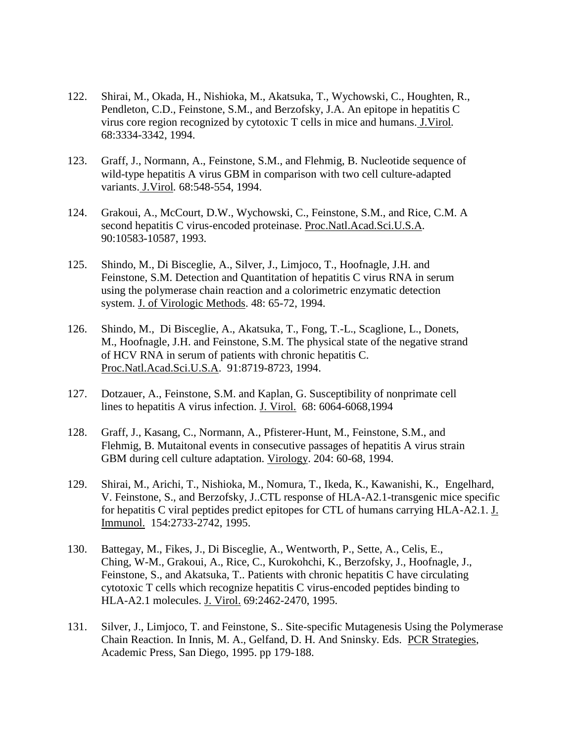- 122. Shirai, M., Okada, H., Nishioka, M., Akatsuka, T., Wychowski, C., Houghten, R., Pendleton, C.D., Feinstone, S.M., and Berzofsky, J.A. An epitope in hepatitis C virus core region recognized by cytotoxic T cells in mice and humans. J.Virol*.*  68:3334-3342, 1994.
- 123. Graff, J., Normann, A., Feinstone, S.M., and Flehmig, B. Nucleotide sequence of wild-type hepatitis A virus GBM in comparison with two cell culture-adapted variants. J.Virol*.* 68:548-554, 1994.
- 124. Grakoui, A., McCourt, D.W., Wychowski, C., Feinstone, S.M., and Rice, C.M. A second hepatitis C virus-encoded proteinase. Proc.Natl.Acad.Sci.U.S.A*.*  90:10583-10587, 1993.
- 125. Shindo, M., Di Bisceglie, A., Silver, J., Limjoco, T., Hoofnagle, J.H. and Feinstone, S.M. Detection and Quantitation of hepatitis C virus RNA in serum using the polymerase chain reaction and a colorimetric enzymatic detection system. J. of Virologic Methods. 48: 65-72, 1994.
- 126. Shindo, M., Di Bisceglie, A., Akatsuka, T., Fong, T.-L., Scaglione, L., Donets, M., Hoofnagle, J.H. and Feinstone, S.M. The physical state of the negative strand of HCV RNA in serum of patients with chronic hepatitis C. Proc.Natl.Acad.Sci.U.S.A. 91:8719-8723, 1994.
- 127. Dotzauer, A., Feinstone, S.M. and Kaplan, G. Susceptibility of nonprimate cell lines to hepatitis A virus infection. J. Virol. 68: 6064-6068,1994
- 128. Graff, J., Kasang, C., Normann, A., Pfisterer-Hunt, M., Feinstone, S.M., and Flehmig, B. Mutaitonal events in consecutive passages of hepatitis A virus strain GBM during cell culture adaptation. Virology. 204: 60-68, 1994.
- 129. Shirai, M., Arichi, T., Nishioka, M., Nomura, T., Ikeda, K., Kawanishi, K., Engelhard, V. Feinstone, S., and Berzofsky, J..CTL response of HLA-A2.1-transgenic mice specific for hepatitis C viral peptides predict epitopes for CTL of humans carrying HLA-A2.1. J. Immunol. 154:2733-2742, 1995.
- 130. Battegay, M., Fikes, J., Di Bisceglie, A., Wentworth, P., Sette, A., Celis, E., Ching, W-M., Grakoui, A., Rice, C., Kurokohchi, K., Berzofsky, J., Hoofnagle, J., Feinstone, S., and Akatsuka, T.. Patients with chronic hepatitis C have circulating cytotoxic T cells which recognize hepatitis C virus-encoded peptides binding to HLA-A2.1 molecules. J. Virol. 69:2462-2470, 1995.
- 131. Silver, J., Limjoco, T. and Feinstone, S.. Site-specific Mutagenesis Using the Polymerase Chain Reaction. In Innis, M. A., Gelfand, D. H. And Sninsky. Eds. PCR Strategies, Academic Press, San Diego, 1995. pp 179-188.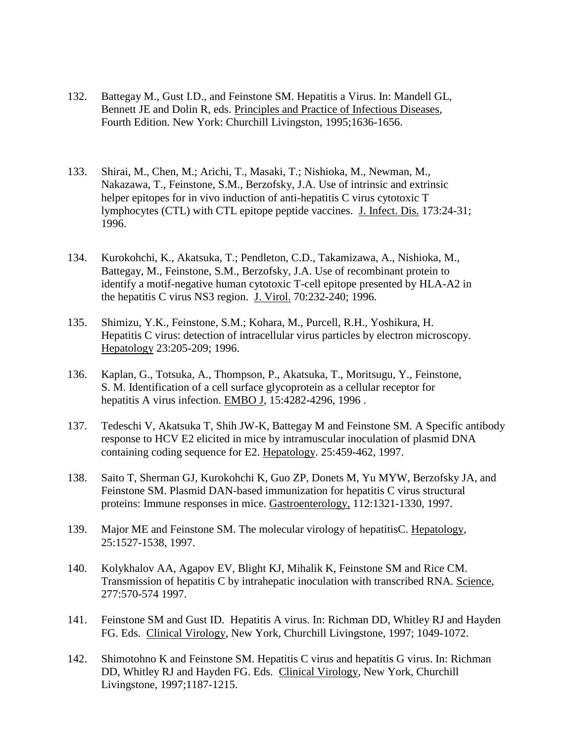- 132. Battegay M., Gust I.D., and Feinstone SM. Hepatitis a Virus. In: Mandell GL, Bennett JE and Dolin R, eds. Principles and Practice of Infectious Diseases, Fourth Edition. New York: Churchill Livingston, 1995;1636-1656.
- 133. Shirai, M., Chen, M.; Arichi, T., Masaki, T.; Nishioka, M., Newman, M., Nakazawa, T., Feinstone, S.M., Berzofsky, J.A. Use of intrinsic and extrinsic helper epitopes for in vivo induction of anti-hepatitis C virus cytotoxic T lymphocytes (CTL) with CTL epitope peptide vaccines. J. Infect. Dis. 173:24-31; 1996.
- 134. Kurokohchi, K., Akatsuka, T.; Pendleton, C.D., Takamizawa, A., Nishioka, M., Battegay, M., Feinstone, S.M., Berzofsky, J.A. Use of recombinant protein to identify a motif-negative human cytotoxic T-cell epitope presented by HLA-A2 in the hepatitis C virus NS3 region. J. Virol. 70:232-240; 1996.
- 135. Shimizu, Y.K., Feinstone, S.M.; Kohara, M., Purcell, R.H., Yoshikura, H. Hepatitis C virus: detection of intracellular virus particles by electron microscopy. Hepatology 23:205-209; 1996.
- 136. Kaplan, G., Totsuka, A., Thompson, P., Akatsuka, T., Moritsugu, Y., Feinstone, S. M. Identification of a cell surface glycoprotein as a cellular receptor for hepatitis A virus infection. EMBO J, 15:4282-4296, 1996 .
- 137. Tedeschi V, Akatsuka T, Shih JW-K, Battegay M and Feinstone SM. A Specific antibody response to HCV E2 elicited in mice by intramuscular inoculation of plasmid DNA containing coding sequence for E2. Hepatology. 25:459-462, 1997.
- 138. Saito T, Sherman GJ, Kurokohchi K, Guo ZP, Donets M, Yu MYW, Berzofsky JA, and Feinstone SM. Plasmid DAN-based immunization for hepatitis C virus structural proteins: Immune responses in mice. Gastroenterology, 112:1321-1330, 1997.
- 139. Major ME and Feinstone SM. The molecular virology of hepatitisC. Hepatology, 25:1527-1538, 1997.
- 140. Kolykhalov AA, Agapov EV, Blight KJ, Mihalik K, Feinstone SM and Rice CM. Transmission of hepatitis C by intrahepatic inoculation with transcribed RNA. Science, 277:570-574 1997.
- 141. Feinstone SM and Gust ID. Hepatitis A virus. In: Richman DD, Whitley RJ and Hayden FG. Eds. Clinical Virology, New York, Churchill Livingstone, 1997; 1049-1072.
- 142. Shimotohno K and Feinstone SM. Hepatitis C virus and hepatitis G virus. In: Richman DD, Whitley RJ and Hayden FG. Eds. Clinical Virology, New York, Churchill Livingstone, 1997;1187-1215.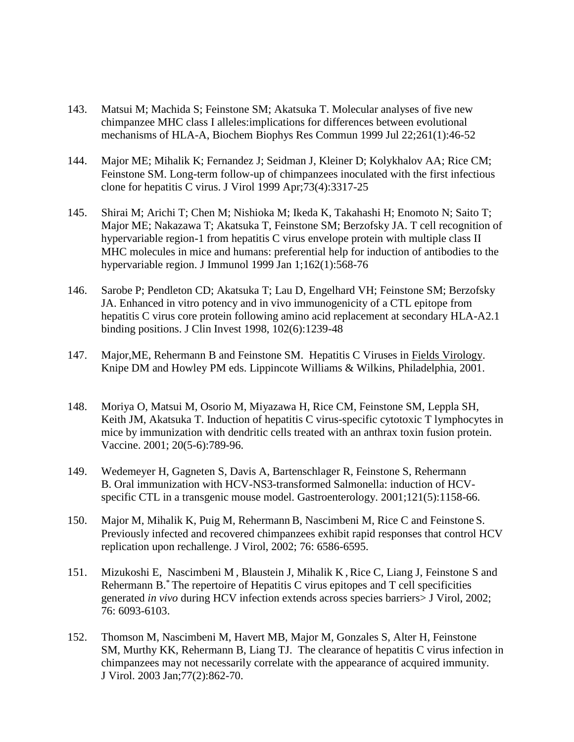- 143. Matsui M; Machida S; Feinstone SM; Akatsuka T. Molecular analyses of five new chimpanzee MHC class I alleles:implications for differences between evolutional mechanisms of HLA-A, Biochem Biophys Res Commun 1999 Jul 22;261(1):46-52
- 144. Major ME; Mihalik K; Fernandez J; Seidman J, Kleiner D; Kolykhalov AA; Rice CM; Feinstone SM. Long-term follow-up of chimpanzees inoculated with the first infectious clone for hepatitis C virus. J Virol 1999 Apr;73(4):3317-25
- 145. Shirai M; Arichi T; Chen M; Nishioka M; Ikeda K, Takahashi H; Enomoto N; Saito T; Major ME; Nakazawa T; Akatsuka T, Feinstone SM; Berzofsky JA. T cell recognition of hypervariable region-1 from hepatitis C virus envelope protein with multiple class II MHC molecules in mice and humans: preferential help for induction of antibodies to the hypervariable region. J Immunol 1999 Jan 1;162(1):568-76
- 146. Sarobe P; Pendleton CD; Akatsuka T; Lau D, Engelhard VH; Feinstone SM; Berzofsky JA. Enhanced in vitro potency and in vivo immunogenicity of a CTL epitope from hepatitis C virus core protein following amino acid replacement at secondary HLA-A2.1 binding positions. J Clin Invest 1998, 102(6):1239-48
- 147. Major,ME, Rehermann B and Feinstone SM. Hepatitis C Viruses in Fields Virology. Knipe DM and Howley PM eds. Lippincote Williams & Wilkins, Philadelphia, 2001.
- 148. Moriya O, Matsui M, Osorio M, Miyazawa H, Rice CM, Feinstone SM, Leppla SH, Keith JM, Akatsuka T. Induction of hepatitis C virus-specific cytotoxic T lymphocytes in mice by immunization with dendritic cells treated with an anthrax toxin fusion protein. Vaccine. 2001; 20(5-6):789-96.
- 149. Wedemeyer H, Gagneten S, Davis A, Bartenschlager R, Feinstone S, Rehermann B. Oral immunization with HCV-NS3-transformed Salmonella: induction of HCVspecific CTL in a transgenic mouse model. Gastroenterology. 2001;121(5):1158-66.
- 150. Major M, Mihalik K, Puig M, Rehermann B, Nascimbeni M, Rice C and Feinstone S. Previously infected and recovered chimpanzees exhibit rapid responses that control HCV replication upon rechallenge. J Virol, 2002; 76: 6586-6595.
- 151. Mizukoshi E, Nascimbeni M , Blaustein J, Mihalik K , Rice C, Liang J, Feinstone S and Rehermann B.\* The repertoire of Hepatitis C virus epitopes and T cell specificities generated *in vivo* during HCV infection extends across species barriers> J Virol, 2002; 76: 6093-6103.
- 152. Thomson M, Nascimbeni M, Havert MB, Major M, Gonzales S, Alter H, Feinstone SM, Murthy KK, Rehermann B, Liang TJ. The clearance of hepatitis C virus infection in chimpanzees may not necessarily correlate with the appearance of acquired immunity. J Virol. 2003 Jan;77(2):862-70.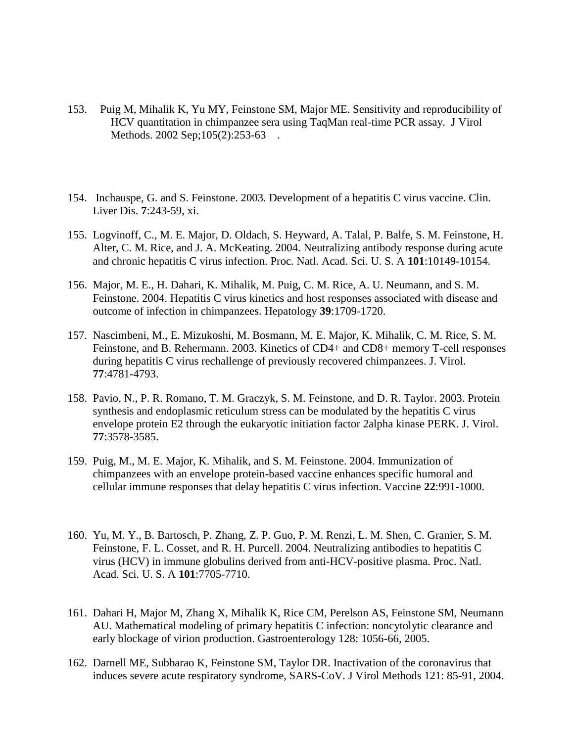- 153. Puig M, Mihalik K, Yu MY, Feinstone SM, Major ME. Sensitivity and reproducibility of HCV quantitation in chimpanzee sera using TaqMan real-time PCR assay. J Virol Methods. 2002 Sep; 105(2): 253-63.
- 154. Inchauspe, G. and S. Feinstone. 2003. Development of a hepatitis C virus vaccine. Clin. Liver Dis. **7**:243-59, xi.
- 155. Logvinoff, C., M. E. Major, D. Oldach, S. Heyward, A. Talal, P. Balfe, S. M. Feinstone, H. Alter, C. M. Rice, and J. A. McKeating. 2004. Neutralizing antibody response during acute and chronic hepatitis C virus infection. Proc. Natl. Acad. Sci. U. S. A **101**:10149-10154.
- 156. Major, M. E., H. Dahari, K. Mihalik, M. Puig, C. M. Rice, A. U. Neumann, and S. M. Feinstone. 2004. Hepatitis C virus kinetics and host responses associated with disease and outcome of infection in chimpanzees. Hepatology **39**:1709-1720.
- 157. Nascimbeni, M., E. Mizukoshi, M. Bosmann, M. E. Major, K. Mihalik, C. M. Rice, S. M. Feinstone, and B. Rehermann. 2003. Kinetics of CD4+ and CD8+ memory T-cell responses during hepatitis C virus rechallenge of previously recovered chimpanzees. J. Virol. **77**:4781-4793.
- 158. Pavio, N., P. R. Romano, T. M. Graczyk, S. M. Feinstone, and D. R. Taylor. 2003. Protein synthesis and endoplasmic reticulum stress can be modulated by the hepatitis C virus envelope protein E2 through the eukaryotic initiation factor 2alpha kinase PERK. J. Virol. **77**:3578-3585.
- 159. Puig, M., M. E. Major, K. Mihalik, and S. M. Feinstone. 2004. Immunization of chimpanzees with an envelope protein-based vaccine enhances specific humoral and cellular immune responses that delay hepatitis C virus infection. Vaccine **22**:991-1000.
- 160. Yu, M. Y., B. Bartosch, P. Zhang, Z. P. Guo, P. M. Renzi, L. M. Shen, C. Granier, S. M. Feinstone, F. L. Cosset, and R. H. Purcell. 2004. Neutralizing antibodies to hepatitis C virus (HCV) in immune globulins derived from anti-HCV-positive plasma. Proc. Natl. Acad. Sci. U. S. A **101**:7705-7710.
- 161. Dahari H, Major M, Zhang X, Mihalik K, Rice CM, Perelson AS, Feinstone SM, Neumann AU. Mathematical modeling of primary hepatitis C infection: noncytolytic clearance and early blockage of virion production. Gastroenterology 128: 1056-66, 2005.
- 162. Darnell ME, Subbarao K, Feinstone SM, Taylor DR. Inactivation of the coronavirus that induces severe acute respiratory syndrome, SARS-CoV. J Virol Methods 121: 85-91, 2004.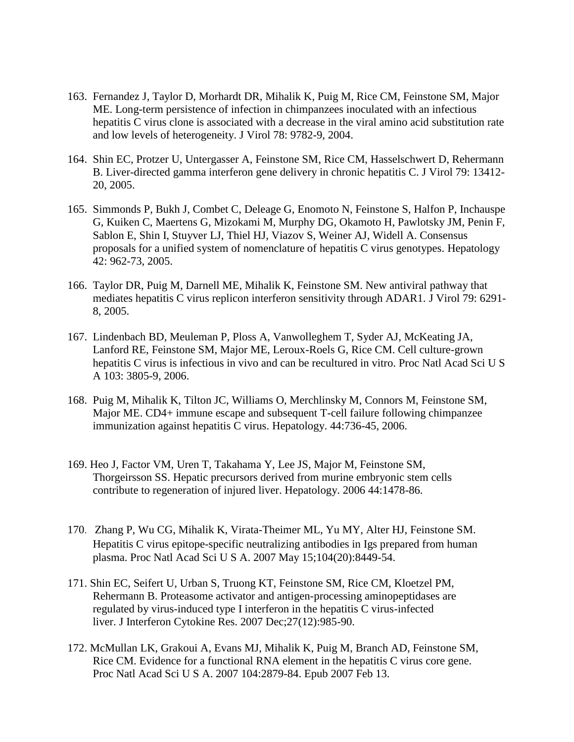- 163. Fernandez J, Taylor D, Morhardt DR, Mihalik K, Puig M, Rice CM, Feinstone SM, Major ME. Long-term persistence of infection in chimpanzees inoculated with an infectious hepatitis C virus clone is associated with a decrease in the viral amino acid substitution rate and low levels of heterogeneity. J Virol 78: 9782-9, 2004.
- 164. Shin EC, Protzer U, Untergasser A, Feinstone SM, Rice CM, Hasselschwert D, Rehermann B. Liver-directed gamma interferon gene delivery in chronic hepatitis C. J Virol 79: 13412- 20, 2005.
- 165. Simmonds P, Bukh J, Combet C, Deleage G, Enomoto N, Feinstone S, Halfon P, Inchauspe G, Kuiken C, Maertens G, Mizokami M, Murphy DG, Okamoto H, Pawlotsky JM, Penin F, Sablon E, Shin I, Stuyver LJ, Thiel HJ, Viazov S, Weiner AJ, Widell A. Consensus proposals for a unified system of nomenclature of hepatitis C virus genotypes. Hepatology 42: 962-73, 2005.
- 166. Taylor DR, Puig M, Darnell ME, Mihalik K, Feinstone SM. New antiviral pathway that mediates hepatitis C virus replicon interferon sensitivity through ADAR1. J Virol 79: 6291- 8, 2005.
- 167. Lindenbach BD, Meuleman P, Ploss A, Vanwolleghem T, Syder AJ, McKeating JA, Lanford RE, Feinstone SM, Major ME, Leroux-Roels G, Rice CM. Cell culture-grown hepatitis C virus is infectious in vivo and can be recultured in vitro. Proc Natl Acad Sci U S A 103: 3805-9, 2006.
- 168. Puig M, Mihalik K, Tilton JC, Williams O, Merchlinsky M, Connors M, Feinstone SM, Major ME. CD4+ immune escape and subsequent T-cell failure following chimpanzee immunization against hepatitis C virus. Hepatology. 44:736-45, 2006.
- 169. Heo J, Factor VM, Uren T, Takahama Y, Lee JS, Major M, Feinstone SM, Thorgeirsson SS. Hepatic precursors derived from murine embryonic stem cells contribute to regeneration of injured liver. Hepatology. 2006 44:1478-86.
- 170. Zhang P, Wu CG, Mihalik K, Virata-Theimer ML, Yu MY, Alter HJ, Feinstone SM. Hepatitis C virus epitope-specific neutralizing antibodies in Igs prepared from human plasma. Proc Natl Acad Sci U S A. 2007 May 15;104(20):8449-54.
- 171. Shin EC, Seifert U, Urban S, Truong KT, Feinstone SM, Rice CM, Kloetzel PM, Rehermann B. Proteasome activator and antigen-processing aminopeptidases are regulated by virus-induced type I interferon in the hepatitis C virus-infected liver. J Interferon Cytokine Res. 2007 Dec;27(12):985-90.
- 172. McMullan LK, Grakoui A, Evans MJ, Mihalik K, Puig M, Branch AD, Feinstone SM, Rice CM. Evidence for a functional RNA element in the hepatitis C virus core gene. Proc Natl Acad Sci U S A. 2007 104:2879-84. Epub 2007 Feb 13.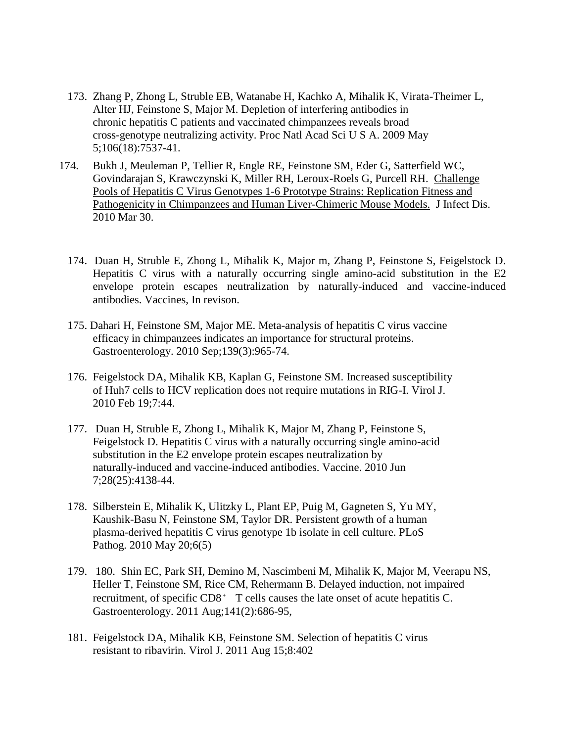- 173. Zhang P, Zhong L, Struble EB, Watanabe H, Kachko A, Mihalik K, Virata-Theimer L, Alter HJ, Feinstone S, Major M. Depletion of interfering antibodies in chronic hepatitis C patients and vaccinated chimpanzees reveals broad cross-genotype neutralizing activity. Proc Natl Acad Sci U S A. 2009 May 5;106(18):7537-41.
- 174. Bukh J, Meuleman P, Tellier R, Engle RE, Feinstone SM, Eder G, Satterfield WC, Govindarajan S, Krawczynski K, Miller RH, Leroux-Roels G, Purcell RH. [Challenge](http://www.ncbi.nlm.nih.gov/pubmed/20353362)  [Pools of Hepatitis C Virus Genotypes 1-6 Prototype Strains: Replication Fitness and](http://www.ncbi.nlm.nih.gov/pubmed/20353362)  [Pathogenicity in Chimpanzees and Human Liver-Chimeric Mouse Models.](http://www.ncbi.nlm.nih.gov/pubmed/20353362) J Infect Dis. 2010 Mar 30.
	- 174. Duan H, Struble E, Zhong L, Mihalik K, Major m, Zhang P, Feinstone S, Feigelstock D. Hepatitis C virus with a naturally occurring single amino-acid substitution in the E2 envelope protein escapes neutralization by naturally-induced and vaccine-induced antibodies. Vaccines, In revison.
	- 175. Dahari H, Feinstone SM, Major ME. Meta-analysis of hepatitis C virus vaccine efficacy in chimpanzees indicates an importance for structural proteins. Gastroenterology. 2010 Sep;139(3):965-74.
	- 176. Feigelstock DA, Mihalik KB, Kaplan G, Feinstone SM. Increased susceptibility of Huh7 cells to HCV replication does not require mutations in RIG-I. Virol J. 2010 Feb 19;7:44.
	- 177. Duan H, Struble E, Zhong L, Mihalik K, Major M, Zhang P, Feinstone S, Feigelstock D. Hepatitis C virus with a naturally occurring single amino-acid substitution in the E2 envelope protein escapes neutralization by naturally-induced and vaccine-induced antibodies. Vaccine. 2010 Jun 7;28(25):4138-44.
	- 178. Silberstein E, Mihalik K, Ulitzky L, Plant EP, Puig M, Gagneten S, Yu MY, Kaushik-Basu N, Feinstone SM, Taylor DR. Persistent growth of a human plasma-derived hepatitis C virus genotype 1b isolate in cell culture. PLoS Pathog. 2010 May 20;6(5)
	- 179. 180. Shin EC, Park SH, Demino M, Nascimbeni M, Mihalik K, Major M, Veerapu NS, Heller T, Feinstone SM, Rice CM, Rehermann B. Delayed induction, not impaired recruitment, of specific CD8<sup>+</sup> T cells causes the late onset of acute hepatitis C. Gastroenterology. 2011 Aug;141(2):686-95,
	- 181. Feigelstock DA, Mihalik KB, Feinstone SM. Selection of hepatitis C virus resistant to ribavirin. Virol J. 2011 Aug 15;8:402